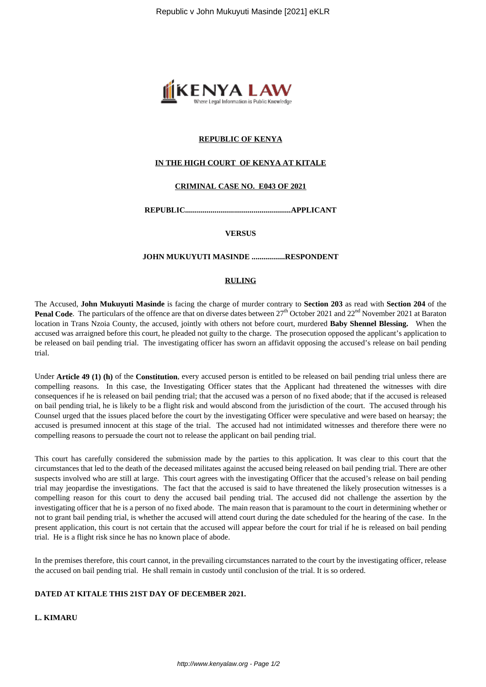

# **REPUBLIC OF KENYA**

## **IN THE HIGH COURT OF KENYA AT KITALE**

## **CRIMINAL CASE NO. E043 OF 2021**

**REPUBLIC......................................................APPLICANT**

**VERSUS**

### **JOHN MUKUYUTI MASINDE .................RESPONDENT**

### **RULING**

The Accused, **John Mukuyuti Masinde** is facing the charge of murder contrary to **Section 203** as read with **Section 204** of the **Penal Code**. The particulars of the offence are that on diverse dates between 27<sup>th</sup> October 2021 and 22<sup>nd</sup> November 2021 at Baraton location in Trans Nzoia County, the accused, jointly with others not before court, murdered **Baby Shennel Blessing.** When the accused was arraigned before this court, he pleaded not guilty to the charge. The prosecution opposed the applicant's application to be released on bail pending trial. The investigating officer has sworn an affidavit opposing the accused's release on bail pending trial.

Under **Article 49 (1) (h)** of the **Constitution**, every accused person is entitled to be released on bail pending trial unless there are compelling reasons. In this case, the Investigating Officer states that the Applicant had threatened the witnesses with dire consequences if he is released on bail pending trial; that the accused was a person of no fixed abode; that if the accused is released on bail pending trial, he is likely to be a flight risk and would abscond from the jurisdiction of the court. The accused through his Counsel urged that the issues placed before the court by the investigating Officer were speculative and were based on hearsay; the accused is presumed innocent at this stage of the trial. The accused had not intimidated witnesses and therefore there were no compelling reasons to persuade the court not to release the applicant on bail pending trial.

This court has carefully considered the submission made by the parties to this application. It was clear to this court that the circumstances that led to the death of the deceased militates against the accused being released on bail pending trial. There are other suspects involved who are still at large. This court agrees with the investigating Officer that the accused's release on bail pending trial may jeopardise the investigations. The fact that the accused is said to have threatened the likely prosecution witnesses is a compelling reason for this court to deny the accused bail pending trial. The accused did not challenge the assertion by the investigating officer that he is a person of no fixed abode. The main reason that is paramount to the court in determining whether or not to grant bail pending trial, is whether the accused will attend court during the date scheduled for the hearing of the case. In the present application, this court is not certain that the accused will appear before the court for trial if he is released on bail pending trial. He is a flight risk since he has no known place of abode.

In the premises therefore, this court cannot, in the prevailing circumstances narrated to the court by the investigating officer, release the accused on bail pending trial. He shall remain in custody until conclusion of the trial. It is so ordered.

## **DATED AT KITALE THIS 21ST DAY OF DECEMBER 2021.**

#### **L. KIMARU**